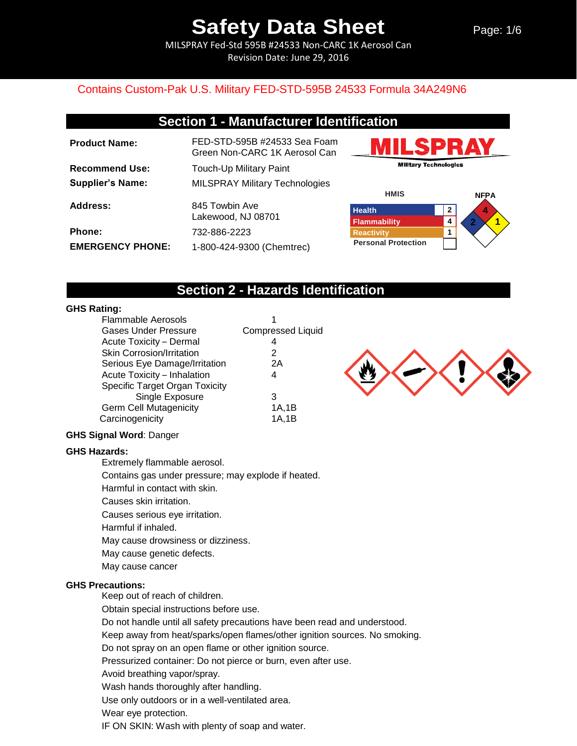Page: 1/6

MILSPRAY Fed-Std 595B #24533 Non-CARC 1K Aerosol Can Revision Date: June 29, 2016

### Contains Custom-Pak U.S. Military FED-STD-595B 24533 Formula 34A249N6

## **Section 1 - Manufacturer Identification**

| <b>Product Name:</b>    | FED-STD-595B #24533 Sea Foam<br>Green Non-CARC 1K Aerosol Can |
|-------------------------|---------------------------------------------------------------|
| <b>Recommend Use:</b>   | Touch-Up Military Paint                                       |
| <b>Supplier's Name:</b> | <b>MILSPRAY Military Technologies</b>                         |
| Address:                | 845 Towbin Ave<br>Lakewood, NJ 08701                          |
| <b>Phone:</b>           | 732-886-2223                                                  |
| <b>EMERGENCY PHONE:</b> | 1-800-424-9300 (Chemtrec)                                     |





## **Section 2 - Hazards Identification**

#### **GHS Rating:**

| <b>Flammable Aerosols</b>        |                          |
|----------------------------------|--------------------------|
| <b>Gases Under Pressure</b>      | <b>Compressed Liquid</b> |
| Acute Toxicity - Dermal          | 4                        |
| <b>Skin Corrosion/Irritation</b> | 2                        |
| Serious Eye Damage/Irritation    | 2Α                       |
| Acute Toxicity - Inhalation      | 4                        |
| Specific Target Organ Toxicity   |                          |
| Single Exposure                  | 3                        |
| <b>Germ Cell Mutagenicity</b>    | 1A,1B                    |
| Carcinogenicity                  | 1A,1B                    |



#### **GHS Signal Word**: Danger

#### **GHS Hazards:**

Extremely flammable aerosol.

Contains gas under pressure; may explode if heated.

Harmful in contact with skin.

Causes skin irritation.

Causes serious eye irritation.

Harmful if inhaled.

May cause drowsiness or dizziness.

May cause genetic defects.

May cause cancer

#### **GHS Precautions:**

Keep out of reach of children.

Obtain special instructions before use.

Do not handle until all safety precautions have been read and understood.

Keep away from heat/sparks/open flames/other ignition sources. No smoking.

Do not spray on an open flame or other ignition source.

Pressurized container: Do not pierce or burn, even after use.

Avoid breathing vapor/spray.

Wash hands thoroughly after handling.

Use only outdoors or in a well-ventilated area.

Wear eye protection.

IF ON SKIN: Wash with plenty of soap and water.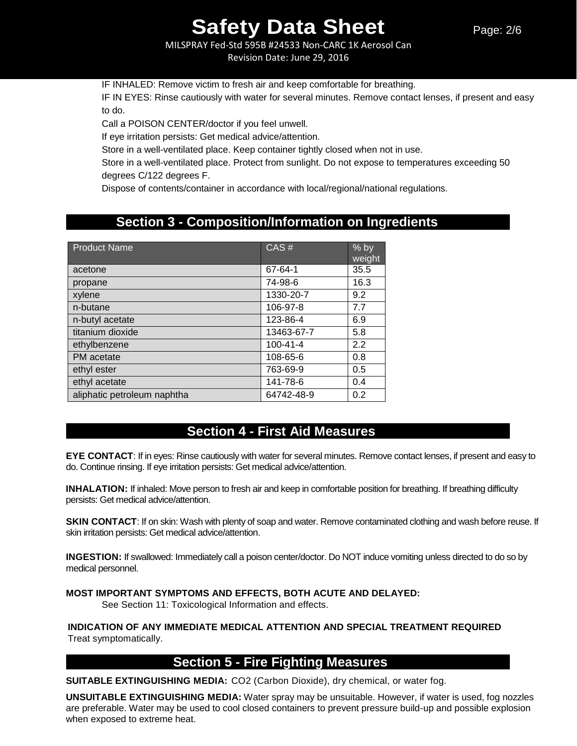MILSPRAY Fed-Std 595B #24533 Non-CARC 1K Aerosol Can Revision Date: June 29, 2016

IF INHALED: Remove victim to fresh air and keep comfortable for breathing.

IF IN EYES: Rinse cautiously with water for several minutes. Remove contact lenses, if present and easy to do.

Call a POISON CENTER/doctor if you feel unwell.

If eye irritation persists: Get medical advice/attention.

Store in a well-ventilated place. Keep container tightly closed when not in use.

Store in a well-ventilated place. Protect from sunlight. Do not expose to temperatures exceeding 50 degrees C/122 degrees F.

Dispose of contents/container in accordance with local/regional/national regulations.

## **Section 3 - Composition/Information on Ingredients**

| <b>Product Name</b>         | CAS#           | $%$ by<br>weight |
|-----------------------------|----------------|------------------|
| acetone                     | 67-64-1        | 35.5             |
| propane                     | 74-98-6        | 16.3             |
| xylene                      | 1330-20-7      | 9.2              |
| n-butane                    | 106-97-8       | 7.7              |
| n-butyl acetate             | 123-86-4       | 6.9              |
| titanium dioxide            | 13463-67-7     | 5.8              |
| ethylbenzene                | $100 - 41 - 4$ | 2.2              |
| PM acetate                  | 108-65-6       | 0.8              |
| ethyl ester                 | 763-69-9       | 0.5              |
| ethyl acetate               | 141-78-6       | 0.4              |
| aliphatic petroleum naphtha | 64742-48-9     | 0.2              |

## **Section 4 - First Aid Measures**

**EYE CONTACT**: If in eyes: Rinse cautiously with water for several minutes. Remove contact lenses, if present and easy to do. Continue rinsing. If eye irritation persists: Get medical advice/attention.

**INHALATION:** If inhaled: Move person to fresh air and keep in comfortable position for breathing. If breathing difficulty persists: Get medical advice/attention.

**SKIN CONTACT:** If on skin: Wash with plenty of soap and water. Remove contaminated clothing and wash before reuse. If skin irritation persists: Get medical advice/attention.

**INGESTION:** If swallowed: Immediately call a poison center/doctor. Do NOT induce vomiting unless directed to do so by medical personnel.

#### **MOST IMPORTANT SYMPTOMS AND EFFECTS, BOTH ACUTE AND DELAYED:**

See Section 11: Toxicological Information and effects.

**INDICATION OF ANY IMMEDIATE MEDICAL ATTENTION AND SPECIAL TREATMENT REQUIRED** Treat symptomatically.

## **Section 5 - Fire Fighting Measures**

**SUITABLE EXTINGUISHING MEDIA:** CO2 (Carbon Dioxide), dry chemical, or water fog.

**UNSUITABLE EXTINGUISHING MEDIA:** Water spray may be unsuitable. However, if water is used, fog nozzles are preferable. Water may be used to cool closed containers to prevent pressure build-up and possible explosion when exposed to extreme heat.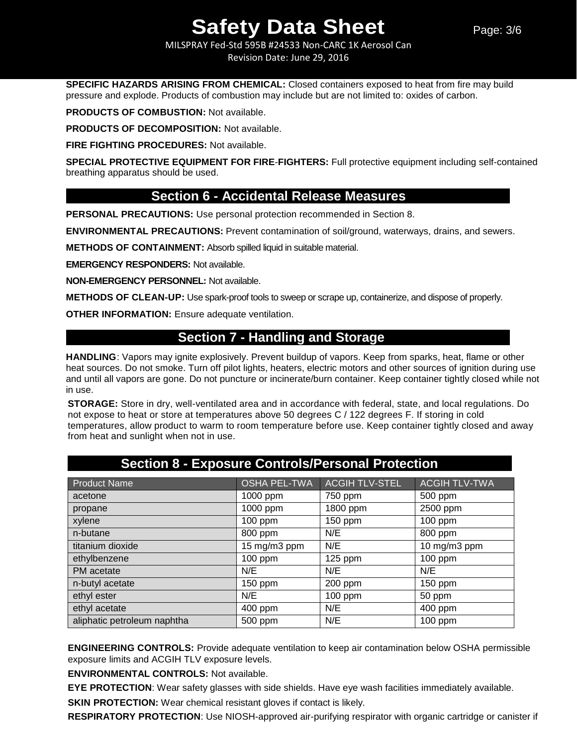MILSPRAY Fed-Std 595B #24533 Non-CARC 1K Aerosol Can Revision Date: June 29, 2016

**SPECIFIC HAZARDS ARISING FROM CHEMICAL:** Closed containers exposed to heat from fire may build pressure and explode. Products of combustion may include but are not limited to: oxides of carbon.

**PRODUCTS OF COMBUSTION:** Not available.

**PRODUCTS OF DECOMPOSITION:** Not available.

**FIRE FIGHTING PROCEDURES:** Not available.

**SPECIAL PROTECTIVE EQUIPMENT FOR FIRE**-**FIGHTERS:** Full protective equipment including self-contained breathing apparatus should be used.

## **Section 6 - Accidental Release Measures**

**PERSONAL PRECAUTIONS:** Use personal protection recommended in Section 8.

**ENVIRONMENTAL PRECAUTIONS:** Prevent contamination of soil/ground, waterways, drains, and sewers.

**METHODS OF CONTAINMENT:** Absorb spilled liquid in suitable material.

**EMERGENCY RESPONDERS:** Not available.

**NON-EMERGENCY PERSONNEL:** Not available.

**METHODS OF CLEAN-UP:** Use spark-proof tools to sweep or scrape up, containerize, and dispose of properly.

**OTHER INFORMATION:** Ensure adequate ventilation.

## **Section 7 - Handling and Storage**

**HANDLING**: Vapors may ignite explosively. Prevent buildup of vapors. Keep from sparks, heat, flame or other heat sources. Do not smoke. Turn off pilot lights, heaters, electric motors and other sources of ignition during use and until all vapors are gone. Do not puncture or incinerate/burn container. Keep container tightly closed while not in use.

**STORAGE:** Store in dry, well-ventilated area and in accordance with federal, state, and local regulations. Do not expose to heat or store at temperatures above 50 degrees C / 122 degrees F. If storing in cold temperatures, allow product to warm to room temperature before use. Keep container tightly closed and away from heat and sunlight when not in use.

| Product Name                | <b>OSHA PEL-TWA</b> | <b>ACGIH TLV-STEL</b> | <b>ACGIH TLV-TWA</b> |
|-----------------------------|---------------------|-----------------------|----------------------|
| acetone                     | 1000 ppm            | 750 ppm               | 500 ppm              |
| propane                     | 1000 ppm            | 1800 ppm              | 2500 ppm             |
| xylene                      | 100 ppm             | 150 ppm               | 100 ppm              |
| n-butane                    | 800 ppm             | N/E                   | 800 ppm              |
| titanium dioxide            | 15 mg/m3 ppm        | N/E                   | 10 mg/m3 ppm         |
| ethylbenzene                | 100 ppm             | $125$ ppm             | 100 ppm              |
| PM acetate                  | N/E                 | N/E                   | N/E                  |
| n-butyl acetate             | 150 ppm             | 200 ppm               | 150 ppm              |
| ethyl ester                 | N/E                 | 100 ppm               | 50 ppm               |
| ethyl acetate               | 400 ppm             | N/E                   | 400 ppm              |
| aliphatic petroleum naphtha | 500 ppm             | N/E                   | 100 ppm              |

## **Section 8 - Exposure Controls/Personal Protection**

**ENGINEERING CONTROLS:** Provide adequate ventilation to keep air contamination below OSHA permissible exposure limits and ACGIH TLV exposure levels.

**ENVIRONMENTAL CONTROLS:** Not available.

**EYE PROTECTION**: Wear safety glasses with side shields. Have eye wash facilities immediately available.

**SKIN PROTECTION:** Wear chemical resistant gloves if contact is likely.

**RESPIRATORY PROTECTION**: Use NIOSH-approved air-purifying respirator with organic cartridge or canister if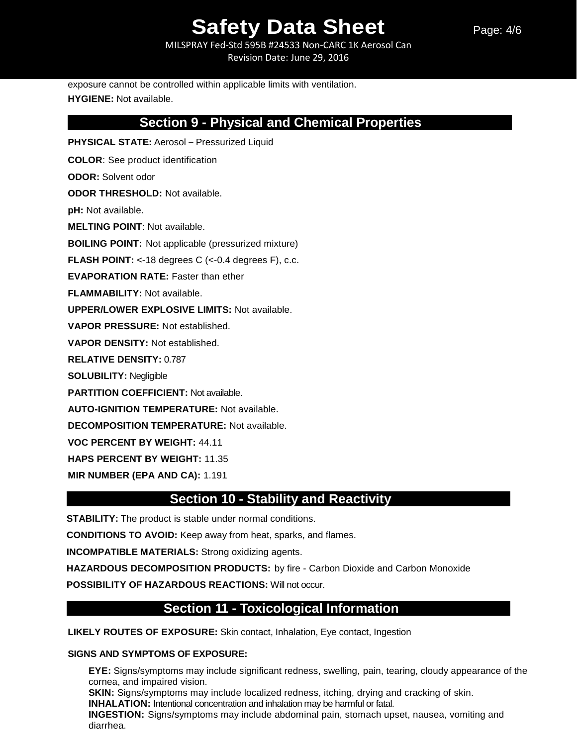MILSPRAY Fed-Std 595B #24533 Non-CARC 1K Aerosol Can Revision Date: June 29, 2016

Page: 4/6

exposure cannot be controlled within applicable limits with ventilation. **HYGIENE:** Not available.

## **Section 9 - Physical and Chemical Properties**

**PHYSICAL STATE:** Aerosol – Pressurized Liquid **COLOR**: See product identification **ODOR:** Solvent odor **ODOR THRESHOLD:** Not available. **pH:** Not available. **MELTING POINT**: Not available. **BOILING POINT:** Not applicable (pressurized mixture) **FLASH POINT:** <-18 degrees C (<-0.4 degrees F), c.c. **EVAPORATION RATE:** Faster than ether **FLAMMABILITY:** Not available. **UPPER/LOWER EXPLOSIVE LIMITS:** Not available. **VAPOR PRESSURE:** Not established. **VAPOR DENSITY:** Not established. **RELATIVE DENSITY:** 0.787 **SOLUBILITY:** Negligible **PARTITION COEFFICIENT:** Not available. **AUTO-IGNITION TEMPERATURE:** Not available. **DECOMPOSITION TEMPERATURE:** Not available. **VOC PERCENT BY WEIGHT:** 44.11 **HAPS PERCENT BY WEIGHT:** 11.35

**MIR NUMBER (EPA AND CA):** 1.191

## **Section 10 - Stability and Reactivity**

**STABILITY:** The product is stable under normal conditions.

**CONDITIONS TO AVOID:** Keep away from heat, sparks, and flames.

**INCOMPATIBLE MATERIALS:** Strong oxidizing agents.

**HAZARDOUS DECOMPOSITION PRODUCTS:** by fire - Carbon Dioxide and Carbon Monoxide

**POSSIBILITY OF HAZARDOUS REACTIONS:** Will not occur.

## **Section 11 - Toxicological Information**

**LIKELY ROUTES OF EXPOSURE:** Skin contact, Inhalation, Eye contact, Ingestion

#### **SIGNS AND SYMPTOMS OF EXPOSURE:**

**EYE:** Signs/symptoms may include significant redness, swelling, pain, tearing, cloudy appearance of the cornea, and impaired vision. **SKIN:** Signs/symptoms may include localized redness, itching, drying and cracking of skin. **INHALATION:** Intentional concentration and inhalation may be harmful or fatal. **INGESTION:** Signs/symptoms may include abdominal pain, stomach upset, nausea, vomiting and diarrhea.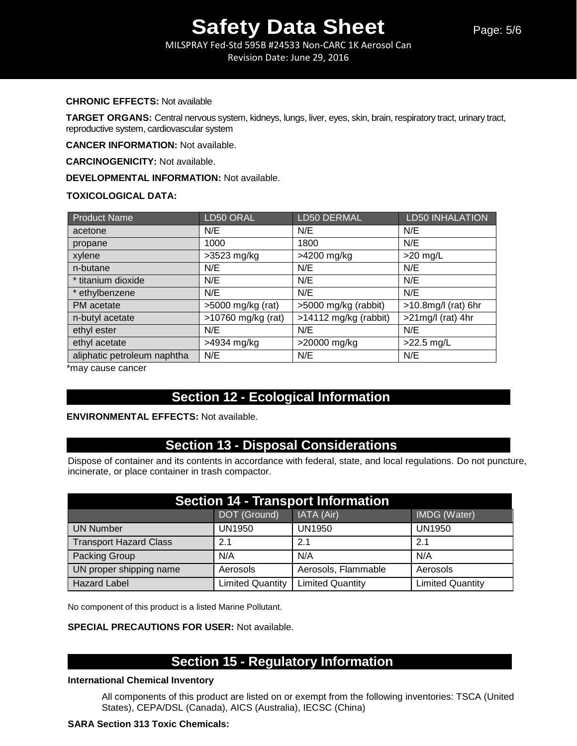MILSPRAY Fed-Std 595B #24533 Non-CARC 1K Aerosol Can Revision Date: June 29, 2016

#### **CHRONIC EFFECTS:** Not available

**TARGET ORGANS:** Central nervous system, kidneys, lungs, liver, eyes, skin, brain, respiratory tract, urinary tract, reproductive system, cardiovascular system

**CANCER INFORMATION:** Not available.

**CARCINOGENICITY:** Not available.

**DEVELOPMENTAL INFORMATION:** Not available.

#### **TOXICOLOGICAL DATA:**

| <b>Product Name</b>         | LD50 ORAL            | LD50 DERMAL             | <b>LD50 INHALATION</b> |
|-----------------------------|----------------------|-------------------------|------------------------|
| acetone                     | N/E                  | N/E                     | N/E                    |
| propane                     | 1000                 | 1800                    | N/E                    |
| xylene                      | $>3523$ mg/kg        | >4200 mg/kg             | $>20$ mg/L             |
| n-butane                    | N/E                  | N/E                     | N/E                    |
| * titanium dioxide          | N/E                  | N/E                     | N/E                    |
| * ethylbenzene              | N/E                  | N/E                     | N/E                    |
| PM acetate                  | $>5000$ mg/kg (rat)  | >5000 mg/kg (rabbit)    | $>10.8$ mg/l (rat) 6hr |
| n-butyl acetate             | $>10760$ mg/kg (rat) | $>14112$ mg/kg (rabbit) | $>21$ mg/l (rat) 4hr   |
| ethyl ester                 | N/E                  | N/E                     | N/E                    |
| ethyl acetate               | >4934 mg/kg          | >20000 mg/kg            | $>22.5$ mg/L           |
| aliphatic petroleum naphtha | N/E                  | N/E                     | N/E                    |

\*may cause cancer

## **Section 12 - Ecological Information**

#### **ENVIRONMENTAL EFFECTS:** Not available.

## **Section 13 - Disposal Considerations**

Dispose of container and its contents in accordance with federal, state, and local regulations. Do not puncture, incinerate, or place container in trash compactor.

| <b>Section 14 - Transport Information</b> |                         |                         |                         |  |
|-------------------------------------------|-------------------------|-------------------------|-------------------------|--|
|                                           | DOT (Ground)            | IATA (Air)              | IMDG (Water)            |  |
| <b>UN Number</b>                          | <b>UN1950</b>           | <b>UN1950</b>           | <b>UN1950</b>           |  |
| <b>Transport Hazard Class</b>             | 2.1                     | 2.1                     | 2.1                     |  |
| Packing Group                             | N/A                     | N/A                     | N/A                     |  |
| UN proper shipping name                   | Aerosols                | Aerosols, Flammable     | Aerosols                |  |
| <b>Hazard Label</b>                       | <b>Limited Quantity</b> | <b>Limited Quantity</b> | <b>Limited Quantity</b> |  |

No component of this product is a listed Marine Pollutant.

#### **SPECIAL PRECAUTIONS FOR USER:** Not available.

## **Section 15 - Regulatory Information**

#### **International Chemical Inventory**

All components of this product are listed on or exempt from the following inventories: TSCA (United States), CEPA/DSL (Canada), AICS (Australia), IECSC (China)

#### **SARA Section 313 Toxic Chemicals:**